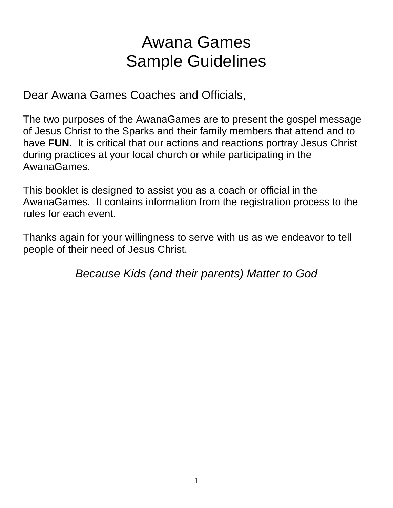# Awana Games Sample Guidelines

Dear Awana Games Coaches and Officials,

The two purposes of the AwanaGames are to present the gospel message of Jesus Christ to the Sparks and their family members that attend and to have **FUN**. It is critical that our actions and reactions portray Jesus Christ during practices at your local church or while participating in the AwanaGames.

This booklet is designed to assist you as a coach or official in the AwanaGames. It contains information from the registration process to the rules for each event.

Thanks again for your willingness to serve with us as we endeavor to tell people of their need of Jesus Christ.

*Because Kids (and their parents) Matter to God*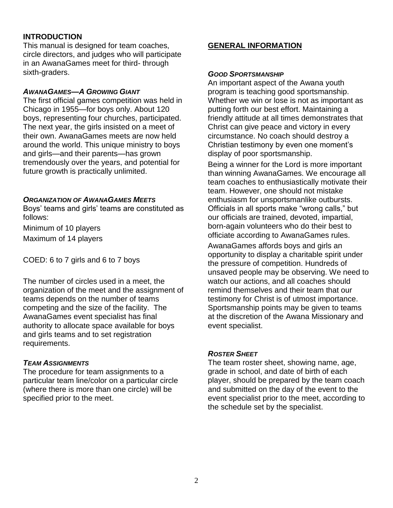## **INTRODUCTION**

This manual is designed for team coaches, circle directors, and judges who will participate in an AwanaGames meet for third- through sixth-graders.

#### *AWANAGAMES—A GROWING GIANT*

The first official games competition was held in Chicago in 1955—for boys only. About 120 boys, representing four churches, participated. The next year, the girls insisted on a meet of their own. AwanaGames meets are now held around the world. This unique ministry to boys and girls—and their parents—has grown tremendously over the years, and potential for future growth is practically unlimited.

#### *ORGANIZATION OF AWANAGAMES MEETS*

Boys' teams and girls' teams are constituted as follows:

Minimum of 10 players Maximum of 14 players

COED: 6 to 7 girls and 6 to 7 boys

The number of circles used in a meet, the organization of the meet and the assignment of teams depends on the number of teams competing and the size of the facility. The AwanaGames event specialist has final authority to allocate space available for boys and girls teams and to set registration requirements.

#### *TEAM ASSIGNMENTS*

The procedure for team assignments to a particular team line/color on a particular circle (where there is more than one circle) will be specified prior to the meet.

## **GENERAL INFORMATION**

#### *GOOD SPORTSMANSHIP*

An important aspect of the Awana youth program is teaching good sportsmanship. Whether we win or lose is not as important as putting forth our best effort. Maintaining a friendly attitude at all times demonstrates that Christ can give peace and victory in every circumstance. No coach should destroy a Christian testimony by even one moment's display of poor sportsmanship.

Being a winner for the Lord is more important than winning AwanaGames. We encourage all team coaches to enthusiastically motivate their team. However, one should not mistake enthusiasm for unsportsmanlike outbursts. Officials in all sports make "wrong calls," but our officials are trained, devoted, impartial, born-again volunteers who do their best to officiate according to AwanaGames rules.

AwanaGames affords boys and girls an opportunity to display a charitable spirit under the pressure of competition. Hundreds of unsaved people may be observing. We need to watch our actions, and all coaches should remind themselves and their team that our testimony for Christ is of utmost importance. Sportsmanship points may be given to teams at the discretion of the Awana Missionary and event specialist.

#### *ROSTER SHEET*

The team roster sheet, showing name, age, grade in school, and date of birth of each player, should be prepared by the team coach and submitted on the day of the event to the event specialist prior to the meet, according to the schedule set by the specialist.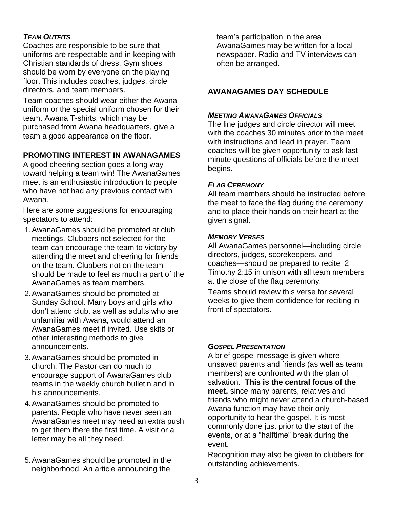## *TEAM OUTFITS*

Coaches are responsible to be sure that uniforms are respectable and in keeping with Christian standards of dress. Gym shoes should be worn by everyone on the playing floor. This includes coaches, judges, circle directors, and team members.

Team coaches should wear either the Awana uniform or the special uniform chosen for their team. Awana T-shirts, which may be purchased from Awana headquarters, give a team a good appearance on the floor.

## **PROMOTING INTEREST IN AWANAGAMES**

A good cheering section goes a long way toward helping a team win! The AwanaGames meet is an enthusiastic introduction to people who have not had any previous contact with Awana.

Here are some suggestions for encouraging spectators to attend:

- 1.AwanaGames should be promoted at club meetings. Clubbers not selected for the team can encourage the team to victory by attending the meet and cheering for friends on the team. Clubbers not on the team should be made to feel as much a part of the AwanaGames as team members.
- 2.AwanaGames should be promoted at Sunday School. Many boys and girls who don't attend club, as well as adults who are unfamiliar with Awana, would attend an AwanaGames meet if invited. Use skits or other interesting methods to give announcements.
- 3.AwanaGames should be promoted in church. The Pastor can do much to encourage support of AwanaGames club teams in the weekly church bulletin and in his announcements.
- 4.AwanaGames should be promoted to parents. People who have never seen an AwanaGames meet may need an extra push to get them there the first time. A visit or a letter may be all they need.
- 5.AwanaGames should be promoted in the neighborhood. An article announcing the

team's participation in the area AwanaGames may be written for a local newspaper. Radio and TV interviews can often be arranged.

## **AWANAGAMES DAY SCHEDULE**

## *MEETING AWANAGAMES OFFICIALS*

The line judges and circle director will meet with the coaches 30 minutes prior to the meet with instructions and lead in prayer. Team coaches will be given opportunity to ask lastminute questions of officials before the meet begins.

## *FLAG CEREMONY*

All team members should be instructed before the meet to face the flag during the ceremony and to place their hands on their heart at the given signal.

## *MEMORY VERSES*

All AwanaGames personnel—including circle directors, judges, scorekeepers, and coaches—should be prepared to recite 2 Timothy 2:15 in unison with all team members at the close of the flag ceremony.

Teams should review this verse for several weeks to give them confidence for reciting in front of spectators.

## *GOSPEL PRESENTATION*

A brief gospel message is given where unsaved parents and friends (as well as team members) are confronted with the plan of salvation. **This is the central focus of the meet,** since many parents, relatives and friends who might never attend a church-based Awana function may have their only opportunity to hear the gospel. It is most commonly done just prior to the start of the events, or at a "halftime" break during the event.

Recognition may also be given to clubbers for outstanding achievements.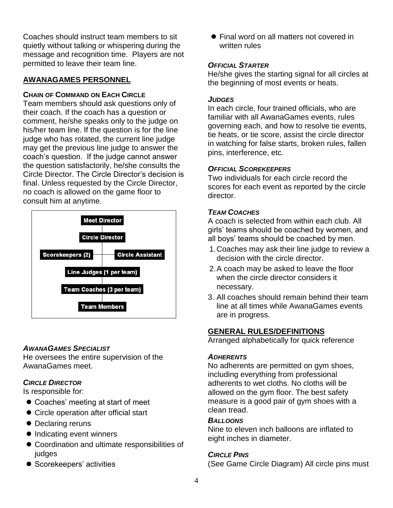Coaches should instruct team members to sit quietly without talking or whispering during the message and recognition time. Players are not permitted to leave their team line.

## **AWANAGAMES PERSONNEL**

## **CHAIN OF COMMAND ON EACH CIRCLE**

Team members should ask questions only of their coach. If the coach has a question or comment, he/she speaks only to the judge on his/her team line. If the question is for the line judge who has rotated, the current line judge may get the previous line judge to answer the coach's question. If the judge cannot answer the question satisfactorily, he/she consults the Circle Director. The Circle Director's decision is final. Unless requested by the Circle Director, no coach is allowed on the game floor to consult him at anytime.



## *AWANAGAMES SPECIALIST*

He oversees the entire supervision of the AwanaGames meet.

## *CIRCLE DIRECTOR*

Is responsible for:

- Coaches' meeting at start of meet
- Circle operation after official start
- Declaring reruns
- Indicating event winners
- Coordination and ultimate responsibilities of judges
- **•** Scorekeepers' activities

● Final word on all matters not covered in written rules

## *OFFICIAL STARTER*

He/she gives the starting signal for all circles at the beginning of most events or heats.

## *JUDGES*

In each circle, four trained officials, who are familiar with all AwanaGames events, rules governing each, and how to resolve tie events, tie heats, or tie score, assist the circle director in watching for false starts, broken rules, fallen pins, interference, etc.

## *OFFICIAL SCOREKEEPERS*

Two individuals for each circle record the scores for each event as reported by the circle director.

## *TEAM COACHES*

A coach is selected from within each club. All girls' teams should be coached by women, and all boys' teams should be coached by men.

- 1.Coaches may ask their line judge to review a decision with the circle director.
- 2.A coach may be asked to leave the floor when the circle director considers it necessary.
- 3. All coaches should remain behind their team line at all times while AwanaGames events are in progress.

## **GENERAL RULES/DEFINITIONS**

Arranged alphabetically for quick reference

## *ADHERENTS*

No adherents are permitted on gym shoes, including everything from professional adherents to wet cloths. No cloths will be allowed on the gym floor. The best safety measure is a good pair of gym shoes with a clean tread.

## *BALLOONS*

Nine to eleven inch balloons are inflated to eight inches in diameter.

## *CIRCLE PINS*

(See Game Circle Diagram) All circle pins must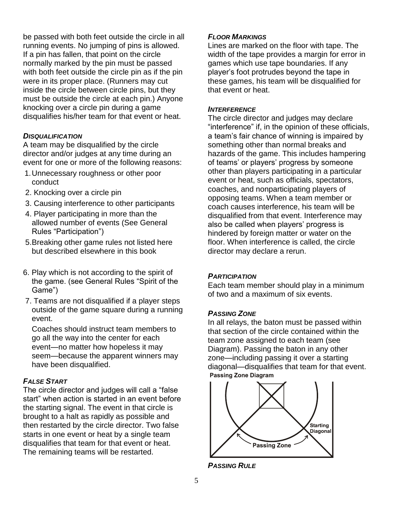be passed with both feet outside the circle in all running events. No jumping of pins is allowed. If a pin has fallen, that point on the circle normally marked by the pin must be passed with both feet outside the circle pin as if the pin were in its proper place. (Runners may cut inside the circle between circle pins, but they must be outside the circle at each pin.) Anyone knocking over a circle pin during a game disqualifies his/her team for that event or heat.

## *DISQUALIFICATION*

A team may be disqualified by the circle director and/or judges at any time during an event for one or more of the following reasons:

- 1.Unnecessary roughness or other poor conduct
- 2. Knocking over a circle pin
- 3. Causing interference to other participants
- 4. Player participating in more than the allowed number of events (See General Rules "Participation")
- 5.Breaking other game rules not listed here but described elsewhere in this book
- 6. Play which is not according to the spirit of the game. (see General Rules "Spirit of the Game")
- 7. Teams are not disqualified if a player steps outside of the game square during a running event.

Coaches should instruct team members to go all the way into the center for each event—no matter how hopeless it may seem—because the apparent winners may have been disqualified.

## *FALSE START*

The circle director and judges will call a "false start" when action is started in an event before the starting signal. The event in that circle is brought to a halt as rapidly as possible and then restarted by the circle director. Two false starts in one event or heat by a single team disqualifies that team for that event or heat. The remaining teams will be restarted.

## *FLOOR MARKINGS*

Lines are marked on the floor with tape. The width of the tape provides a margin for error in games which use tape boundaries. If any player's foot protrudes beyond the tape in these games, his team will be disqualified for that event or heat.

#### *INTERFERENCE*

The circle director and judges may declare "interference" if, in the opinion of these officials, a team's fair chance of winning is impaired by something other than normal breaks and hazards of the game. This includes hampering of teams' or players' progress by someone other than players participating in a particular event or heat, such as officials, spectators, coaches, and nonparticipating players of opposing teams. When a team member or coach causes interference, his team will be disqualified from that event. Interference may also be called when players' progress is hindered by foreign matter or water on the floor. When interference is called, the circle director may declare a rerun.

## *PARTICIPATION*

Each team member should play in a minimum of two and a maximum of six events.

## *PASSING ZONE*

In all relays, the baton must be passed within that section of the circle contained within the team zone assigned to each team (see Diagram). Passing the baton in any other zone—including passing it over a starting diagonal—disqualifies that team for that event. **Passing Zone Diagram** 



*PASSING RULE*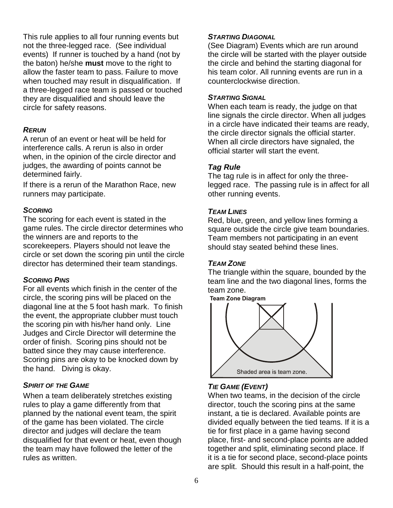This rule applies to all four running events but not the three-legged race. (See individual events) If runner is touched by a hand (not by the baton) he/she **must** move to the right to allow the faster team to pass. Failure to move when touched may result in disqualification. If a three-legged race team is passed or touched they are disqualified and should leave the circle for safety reasons.

## *RERUN*

A rerun of an event or heat will be held for interference calls. A rerun is also in order when, in the opinion of the circle director and judges, the awarding of points cannot be determined fairly.

If there is a rerun of the Marathon Race, new runners may participate.

## *SCORING*

The scoring for each event is stated in the game rules. The circle director determines who the winners are and reports to the scorekeepers. Players should not leave the circle or set down the scoring pin until the circle director has determined their team standings.

## *SCORING PINS*

For all events which finish in the center of the circle, the scoring pins will be placed on the diagonal line at the 5 foot hash mark. To finish the event, the appropriate clubber must touch the scoring pin with his/her hand only. Line Judges and Circle Director will determine the order of finish. Scoring pins should not be batted since they may cause interference. Scoring pins are okay to be knocked down by the hand. Diving is okay.

## *SPIRIT OF THE GAME*

When a team deliberately stretches existing rules to play a game differently from that planned by the national event team, the spirit of the game has been violated. The circle director and judges will declare the team disqualified for that event or heat, even though the team may have followed the letter of the rules as written.

## *STARTING DIAGONAL*

(See Diagram) Events which are run around the circle will be started with the player outside the circle and behind the starting diagonal for his team color. All running events are run in a counterclockwise direction.

## *STARTING SIGNAL*

When each team is ready, the judge on that line signals the circle director. When all judges in a circle have indicated their teams are ready, the circle director signals the official starter. When all circle directors have signaled, the official starter will start the event.

## *Tag Rule*

The tag rule is in affect for only the threelegged race. The passing rule is in affect for all other running events.

## *TEAM LINES*

Red, blue, green, and yellow lines forming a square outside the circle give team boundaries. Team members not participating in an event should stay seated behind these lines.

## *TEAM ZONE*

The triangle within the square, bounded by the team line and the two diagonal lines, forms the team zone.<br>Team Zone Diagram



## *TIE GAME (EVENT)*

When two teams, in the decision of the circle director, touch the scoring pins at the same instant, a tie is declared. Available points are divided equally between the tied teams. If it is a tie for first place in a game having second place, first- and second-place points are added together and split, eliminating second place. If it is a tie for second place, second-place points are split. Should this result in a half-point, the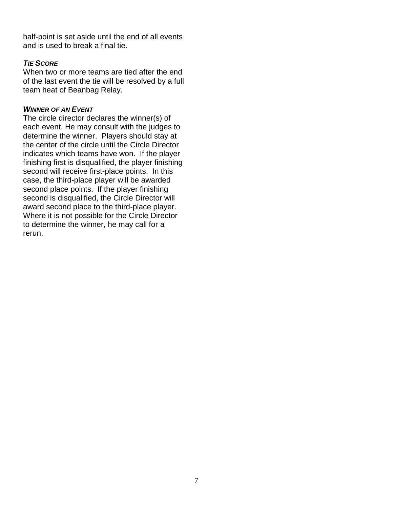half-point is set aside until the end of all events and is used to break a final tie.

## *TIE SCORE*

When two or more teams are tied after the end of the last event the tie will be resolved by a full team heat of Beanbag Relay.

## *WINNER OF AN EVENT*

The circle director declares the winner(s) of each event. He may consult with the judges to determine the winner. Players should stay at the center of the circle until the Circle Director indicates which teams have won. If the player finishing first is disqualified, the player finishing second will receive first-place points. In this case, the third-place player will be awarded second place points. If the player finishing second is disqualified, the Circle Director will award second place to the third-place player. Where it is not possible for the Circle Director to determine the winner, he may call for a rerun.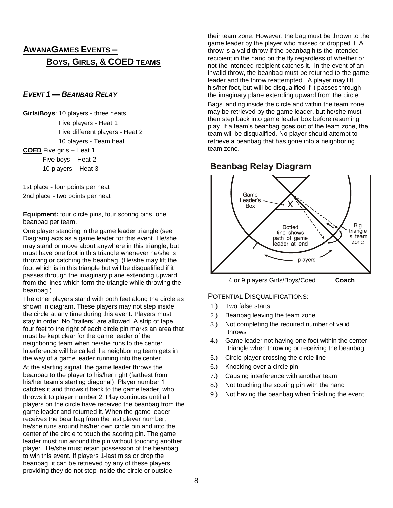## **AWANAGAMES EVENTS – BOYS, GIRLS, & COED TEAMS**

#### *EVENT 1 — BEANBAG RELAY*

**Girls/Boys**: 10 players - three heats Five players - Heat 1 Five different players - Heat 2 10 players - Team heat

**COED** Five girls – Heat 1 Five boys – Heat 2 10 players – Heat 3

1st place - four points per heat 2nd place - two points per heat

**Equipment:** four circle pins, four scoring pins, one beanbag per team.

One player standing in the game leader triangle (see Diagram) acts as a game leader for this event. He/she may stand or move about anywhere in this triangle, but must have one foot in this triangle whenever he/she is throwing or catching the beanbag. (He/she may lift the foot which is in this triangle but will be disqualified if it passes through the imaginary plane extending upward from the lines which form the triangle while throwing the beanbag.)

The other players stand with both feet along the circle as shown in diagram. These players may not step inside the circle at any time during this event. Players must stay in order. No "trailers" are allowed. A strip of tape four feet to the right of each circle pin marks an area that must be kept clear for the game leader of the neighboring team when he/she runs to the center. Interference will be called if a neighboring team gets in the way of a game leader running into the center.

At the starting signal, the game leader throws the beanbag to the player to his/her right (farthest from his/her team's starting diagonal). Player number 1 catches it and throws it back to the game leader, who throws it to player number 2. Play continues until all players on the circle have received the beanbag from the game leader and returned it. When the game leader receives the beanbag from the last player number, he/she runs around his/her own circle pin and into the center of the circle to touch the scoring pin. The game leader must run around the pin without touching another player. He/she must retain possession of the beanbag to win this event. If players 1-last miss or drop the beanbag, it can be retrieved by any of these players, providing they do not step inside the circle or outside

their team zone. However, the bag must be thrown to the game leader by the player who missed or dropped it. A throw is a valid throw if the beanbag hits the intended recipient in the hand on the fly regardless of whether or not the intended recipient catches it. In the event of an invalid throw, the beanbag must be returned to the game leader and the throw reattempted. A player may lift his/her foot, but will be disqualified if it passes through the imaginary plane extending upward from the circle.

Bags landing inside the circle and within the team zone may be retrieved by the game leader, but he/she must then step back into game leader box before resuming play. If a team's beanbag goes out of the team zone, the team will be disqualified. No player should attempt to retrieve a beanbag that has gone into a neighboring team zone.

## **Beanbag Relay Diagram**



- 1.) Two false starts
- 2.) Beanbag leaving the team zone
- 3.) Not completing the required number of valid throws
- 4.) Game leader not having one foot within the center triangle when throwing or receiving the beanbag
- 5.) Circle player crossing the circle line
- 6.) Knocking over a circle pin
- 7.) Causing interference with another team
- 8.) Not touching the scoring pin with the hand
- 9.) Not having the beanbag when finishing the event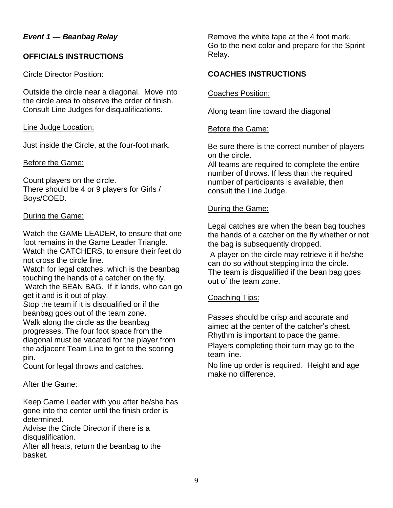## *Event 1 — Beanbag Relay*

## **OFFICIALS INSTRUCTIONS**

#### Circle Director Position:

Outside the circle near a diagonal. Move into the circle area to observe the order of finish. Consult Line Judges for disqualifications.

## Line Judge Location:

Just inside the Circle, at the four-foot mark.

## Before the Game:

Count players on the circle. There should be 4 or 9 players for Girls / Boys/COED.

## During the Game:

Watch the GAME LEADER, to ensure that one foot remains in the Game Leader Triangle. Watch the CATCHERS, to ensure their feet do not cross the circle line.

Watch for legal catches, which is the beanbag touching the hands of a catcher on the fly. Watch the BEAN BAG. If it lands, who can go get it and is it out of play.

Stop the team if it is disqualified or if the beanbag goes out of the team zone. Walk along the circle as the beanbag progresses. The four foot space from the diagonal must be vacated for the player from the adjacent Team Line to get to the scoring pin.

Count for legal throws and catches.

## After the Game:

Keep Game Leader with you after he/she has gone into the center until the finish order is determined.

Advise the Circle Director if there is a disqualification.

After all heats, return the beanbag to the basket.

Remove the white tape at the 4 foot mark. Go to the next color and prepare for the Sprint Relay.

## **COACHES INSTRUCTIONS**

Coaches Position:

Along team line toward the diagonal

## Before the Game:

Be sure there is the correct number of players on the circle.

All teams are required to complete the entire number of throws. If less than the required number of participants is available, then consult the Line Judge.

## During the Game:

Legal catches are when the bean bag touches the hands of a catcher on the fly whether or not the bag is subsequently dropped.

A player on the circle may retrieve it if he/she can do so without stepping into the circle. The team is disqualified if the bean bag goes out of the team zone.

## Coaching Tips:

Passes should be crisp and accurate and aimed at the center of the catcher's chest. Rhythm is important to pace the game.

Players completing their turn may go to the team line.

No line up order is required. Height and age make no difference.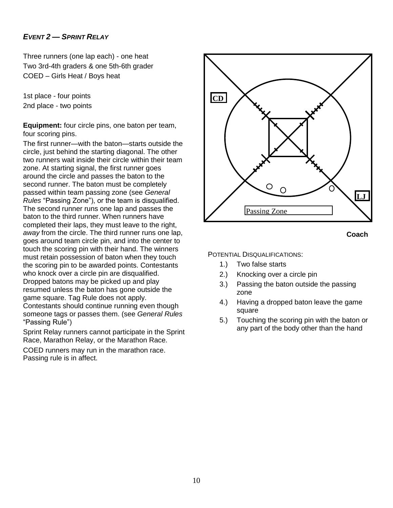## *EVENT 2 — SPRINT RELAY*

Three runners (one lap each) - one heat Two 3rd-4th graders & one 5th-6th grader COED – Girls Heat / Boys heat

1st place - four points 2nd place - two points

**Equipment:** four circle pins, one baton per team, four scoring pins.

The first runner—with the baton—starts outside the circle, just behind the starting diagonal. The other two runners wait inside their circle within their team zone. At starting signal, the first runner goes around the circle and passes the baton to the second runner. The baton must be completely passed within team passing zone (see *General Rules* "Passing Zone"), or the team is disqualified. The second runner runs one lap and passes the baton to the third runner. When runners have completed their laps, they must leave to the right, *away* from the circle. The third runner runs one lap, goes around team circle pin, and into the center to touch the scoring pin with their hand. The winners must retain possession of baton when they touch the scoring pin to be awarded points. Contestants who knock over a circle pin are disqualified. Dropped batons may be picked up and play resumed unless the baton has gone outside the game square. Tag Rule does not apply. Contestants should continue running even though someone tags or passes them. (see *General Rules* "Passing Rule")

Sprint Relay runners cannot participate in the Sprint Race, Marathon Relay, or the Marathon Race.

COED runners may run in the marathon race. Passing rule is in affect.





- 1.) Two false starts
- 2.) Knocking over a circle pin
- 3.) Passing the baton outside the passing zone
- 4.) Having a dropped baton leave the game square
- 5.) Touching the scoring pin with the baton or any part of the body other than the hand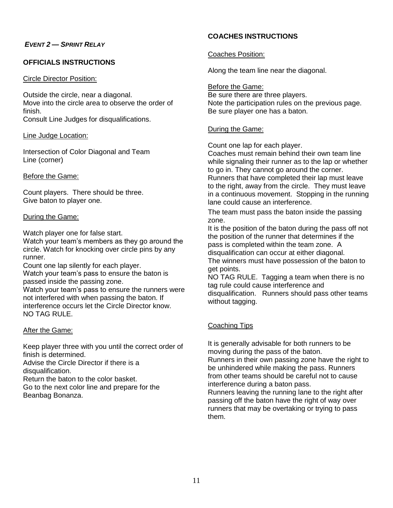#### *EVENT 2 — SPRINT RELAY*

#### **OFFICIALS INSTRUCTIONS**

#### Circle Director Position:

Outside the circle, near a diagonal. Move into the circle area to observe the order of finish. Consult Line Judges for disqualifications.

Line Judge Location:

Intersection of Color Diagonal and Team Line (corner)

#### Before the Game:

Count players. There should be three. Give baton to player one.

#### During the Game:

Watch player one for false start.

Watch your team's members as they go around the circle. Watch for knocking over circle pins by any runner.

Count one lap silently for each player.

Watch your team's pass to ensure the baton is passed inside the passing zone.

Watch your team's pass to ensure the runners were not interfered with when passing the baton. If interference occurs let the Circle Director know. NO TAG RULE.

#### After the Game:

Keep player three with you until the correct order of finish is determined.

Advise the Circle Director if there is a disqualification.

Return the baton to the color basket.

Go to the next color line and prepare for the Beanbag Bonanza.

## **COACHES INSTRUCTIONS**

#### Coaches Position:

Along the team line near the diagonal.

Before the Game: Be sure there are three players. Note the participation rules on the previous page. Be sure player one has a baton.

#### During the Game:

Count one lap for each player.

Coaches must remain behind their own team line while signaling their runner as to the lap or whether to go in. They cannot go around the corner. Runners that have completed their lap must leave to the right, away from the circle. They must leave in a continuous movement. Stopping in the running lane could cause an interference.

The team must pass the baton inside the passing zone.

It is the position of the baton during the pass off not the position of the runner that determines if the pass is completed within the team zone. A disqualification can occur at either diagonal. The winners must have possession of the baton to get points.

NO TAG RULE. Tagging a team when there is no tag rule could cause interference and disqualification. Runners should pass other teams without tagging.

## Coaching Tips

them.

It is generally advisable for both runners to be moving during the pass of the baton. Runners in their own passing zone have the right to be unhindered while making the pass. Runners from other teams should be careful not to cause interference during a baton pass. Runners leaving the running lane to the right after passing off the baton have the right of way over runners that may be overtaking or trying to pass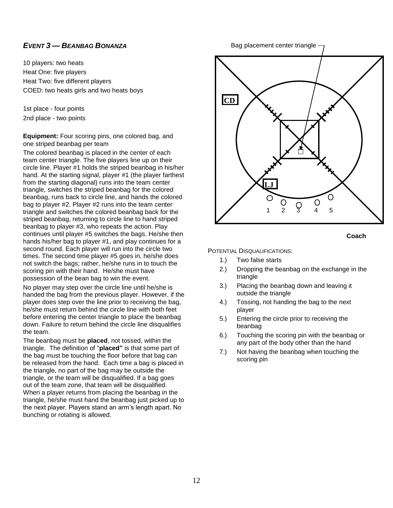#### *EVENT 3 — BEANBAG BONANZA*

10 players: two heats Heat One: five players Heat Two: five different players COED: two heats girls and two heats boys

1st place - four points 2nd place - two points

**Equipment:** Four scoring pins, one colored bag, and one striped beanbag per team

The colored beanbag is placed in the center of each team center triangle. The five players line up on their circle line. Player #1 holds the striped beanbag in his/her hand. At the starting signal, player #1 (the player farthest from the starting diagonal) runs into the team center triangle, switches the striped beanbag for the colored beanbag, runs back to circle line, and hands the colored bag to player #2. Player #2 runs into the team center triangle and switches the colored beanbag back for the striped beanbag, returning to circle line to hand striped beanbag to player #3, who repeats the action. Play continues until player #5 switches the bags. He/she then hands his/her bag to player #1, and play continues for a second round. Each player will run into the circle two times. The second time player #5 goes in, he/she does not switch the bags; rather, he/she runs in to touch the scoring pin with their hand. He/she must have possession of the bean bag to win the event.

No player may step over the circle line until he/she is handed the bag from the previous player. However, if the player does step over the line prior to receiving the bag, he/she must return behind the circle line with both feet before entering the center triangle to place the beanbag down. Failure to return behind the circle line disqualifies the team.

The beanbag must be **placed**, not tossed, within the triangle. The definition of "**placed"** is that some part of the bag must be touching the floor before that bag can be released from the hand. Each time a bag is placed in the triangle, no part of the bag may be outside the triangle, or the team will be disqualified. If a bag goes out of the team zone, that team will be disqualified. When a player returns from placing the beanbag in the triangle, he/she must hand the beanbag just picked up to the next player. Players stand an arm's length apart. No bunching or rotating is allowed.

Bag placement center triangle





- 1.) Two false starts
- 2.) Dropping the beanbag on the exchange in the triangle
- 3.) Placing the beanbag down and leaving it outside the triangle
- 4.) Tossing, not handing the bag to the next player
- 5.) Entering the circle prior to receiving the beanbag
- 6.) Touching the scoring pin with the beanbag or any part of the body other than the hand
- 7.) Not having the beanbag when touching the scoring pin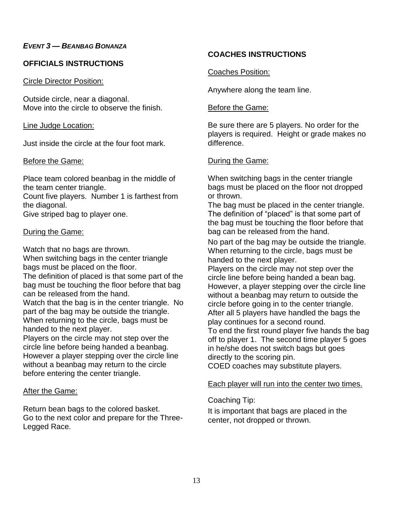## *EVENT 3 — BEANBAG BONANZA*

## **OFFICIALS INSTRUCTIONS**

Circle Director Position:

Outside circle, near a diagonal. Move into the circle to observe the finish.

#### Line Judge Location:

Just inside the circle at the four foot mark.

#### Before the Game:

Place team colored beanbag in the middle of the team center triangle.

Count five players. Number 1 is farthest from the diagonal.

Give striped bag to player one.

## During the Game:

Watch that no bags are thrown.

When switching bags in the center triangle bags must be placed on the floor.

The definition of placed is that some part of the bag must be touching the floor before that bag can be released from the hand.

Watch that the bag is in the center triangle. No part of the bag may be outside the triangle. When returning to the circle, bags must be handed to the next player.

Players on the circle may not step over the circle line before being handed a beanbag. However a player stepping over the circle line without a beanbag may return to the circle before entering the center triangle.

## After the Game:

Return bean bags to the colored basket. Go to the next color and prepare for the Three-Legged Race.

## **COACHES INSTRUCTIONS**

Coaches Position:

Anywhere along the team line.

#### Before the Game:

Be sure there are 5 players. No order for the players is required. Height or grade makes no difference.

## During the Game:

When switching bags in the center triangle bags must be placed on the floor not dropped or thrown.

The bag must be placed in the center triangle. The definition of "placed" is that some part of the bag must be touching the floor before that bag can be released from the hand.

No part of the bag may be outside the triangle. When returning to the circle, bags must be handed to the next player.

Players on the circle may not step over the circle line before being handed a bean bag. However, a player stepping over the circle line without a beanbag may return to outside the circle before going in to the center triangle. After all 5 players have handled the bags the play continues for a second round.

To end the first round player five hands the bag off to player 1. The second time player 5 goes in he/she does not switch bags but goes directly to the scoring pin.

COED coaches may substitute players.

## Each player will run into the center two times.

## Coaching Tip:

It is important that bags are placed in the center, not dropped or thrown.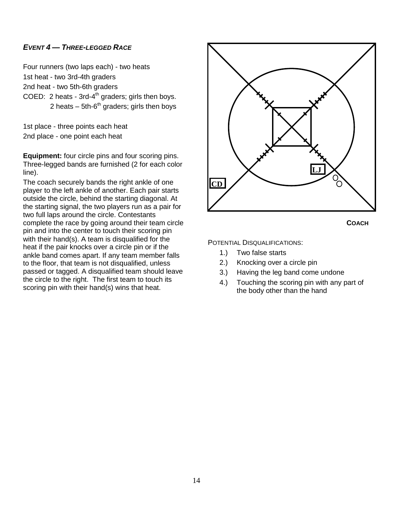## *EVENT 4 — THREE-LEGGED RACE*

Four runners (two laps each) - two heats 1st heat - two 3rd-4th graders 2nd heat - two 5th-6th graders COED: 2 heats - 3rd-4<sup>th</sup> graders; girls then boys. 2 heats  $-5$ th-6<sup>th</sup> graders; girls then boys

1st place - three points each heat 2nd place - one point each heat

**Equipment:** four circle pins and four scoring pins. Three-legged bands are furnished (2 for each color line).

The coach securely bands the right ankle of one player to the left ankle of another. Each pair starts outside the circle, behind the starting diagonal. At the starting signal, the two players run as a pair for two full laps around the circle. Contestants complete the race by going around their team circle pin and into the center to touch their scoring pin with their hand(s). A team is disqualified for the heat if the pair knocks over a circle pin or if the ankle band comes apart. If any team member falls to the floor, that team is not disqualified, unless passed or tagged. A disqualified team should leave the circle to the right. The first team to touch its scoring pin with their hand(s) wins that heat.



**COACH**

- 1.) Two false starts
- 2.) Knocking over a circle pin
- 3.) Having the leg band come undone
- 4.) Touching the scoring pin with any part of the body other than the hand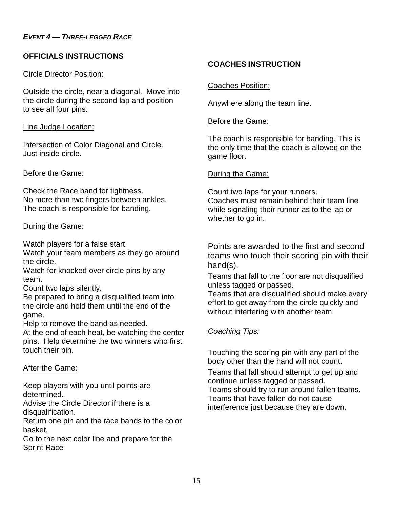## **OFFICIALS INSTRUCTIONS**

## Circle Director Position:

Outside the circle, near a diagonal. Move into the circle during the second lap and position to see all four pins.

## Line Judge Location:

Intersection of Color Diagonal and Circle. Just inside circle.

## Before the Game:

Check the Race band for tightness. No more than two fingers between ankles. The coach is responsible for banding.

## During the Game:

Watch players for a false start.

Watch your team members as they go around the circle.

Watch for knocked over circle pins by any team.

Count two laps silently.

Be prepared to bring a disqualified team into the circle and hold them until the end of the game.

Help to remove the band as needed.

At the end of each heat, be watching the center pins. Help determine the two winners who first touch their pin.

## After the Game:

Keep players with you until points are determined.

Advise the Circle Director if there is a disqualification.

Return one pin and the race bands to the color basket.

Go to the next color line and prepare for the Sprint Race

## **COACHES INSTRUCTION**

## Coaches Position:

Anywhere along the team line.

## **Before the Game:**

The coach is responsible for banding. This is the only time that the coach is allowed on the game floor.

## During the Game:

Count two laps for your runners. Coaches must remain behind their team line while signaling their runner as to the lap or whether to go in.

Points are awarded to the first and second teams who touch their scoring pin with their hand(s).

Teams that fall to the floor are not disqualified unless tagged or passed.

Teams that are disqualified should make every effort to get away from the circle quickly and without interfering with another team.

## *Coaching Tips:*

Touching the scoring pin with any part of the body other than the hand will not count.

Teams that fall should attempt to get up and continue unless tagged or passed.

Teams should try to run around fallen teams. Teams that have fallen do not cause interference just because they are down.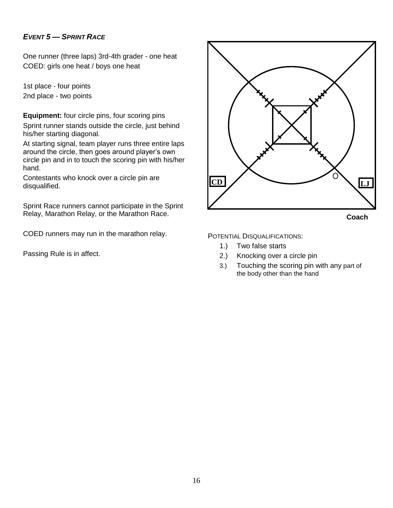## *EVENT 5 — SPRINT RACE*

One runner (three laps) 3rd-4th grader - one heat COED: girls one heat / boys one heat

1st place - four points 2nd place - two points

**Equipment:** four circle pins, four scoring pins Sprint runner stands outside the circle, just behind his/her starting diagonal.

At starting signal, team player runs three entire laps around the circle, then goes around player's own circle pin and in to touch the scoring pin with his/her hand.

Contestants who knock over a circle pin are disqualified.

Sprint Race runners cannot participate in the Sprint Relay, Marathon Relay, or the Marathon Race.

COED runners may run in the marathon relay.

Passing Rule is in affect.

![](_page_15_Figure_9.jpeg)

- 1.) Two false starts
- 2.) Knocking over a circle pin
- 3.) Touching the scoring pin with any part of the body other than the hand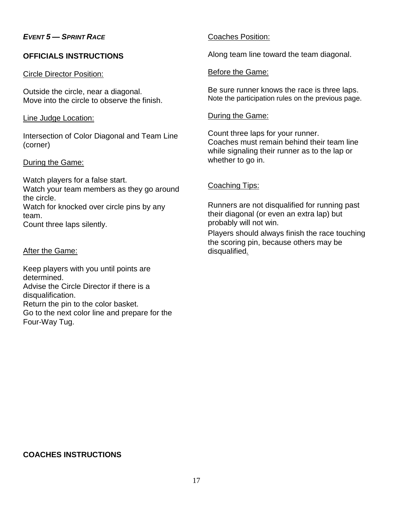## *EVENT 5 — SPRINT RACE*

## **OFFICIALS INSTRUCTIONS**

#### Circle Director Position:

Outside the circle, near a diagonal. Move into the circle to observe the finish.

#### Line Judge Location:

Intersection of Color Diagonal and Team Line (corner)

#### During the Game:

Watch players for a false start. Watch your team members as they go around the circle. Watch for knocked over circle pins by any team.

Count three laps silently.

#### After the Game:

Keep players with you until points are determined.

Advise the Circle Director if there is a disqualification.

Return the pin to the color basket. Go to the next color line and prepare for the Four-Way Tug.

#### Coaches Position:

Along team line toward the team diagonal.

#### Before the Game:

Be sure runner knows the race is three laps. Note the participation rules on the previous page.

#### During the Game:

Count three laps for your runner. Coaches must remain behind their team line while signaling their runner as to the lap or whether to go in.

#### Coaching Tips:

Runners are not disqualified for running past their diagonal (or even an extra lap) but probably will not win.

Players should always finish the race touching the scoring pin, because others may be disqualified*.*

## **COACHES INSTRUCTIONS**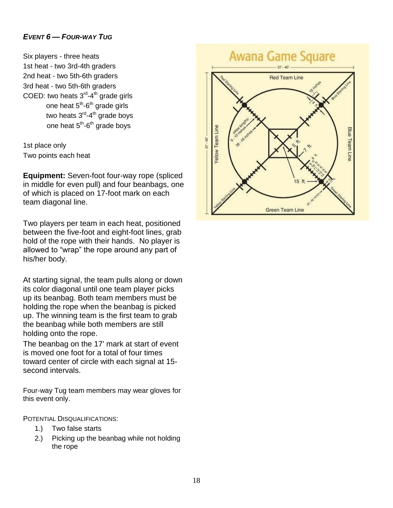## *EVENT 6 — FOUR-WAY TUG*

Six players - three heats 1st heat - two 3rd-4th graders 2nd heat - two 5th-6th graders 3rd heat - two 5th-6th graders COED: two heats 3<sup>rd</sup>-4<sup>th</sup> grade girls one heat 5<sup>th</sup>-6<sup>th</sup> grade girls two heats 3<sup>rd</sup>-4<sup>th</sup> grade boys one heat 5<sup>th</sup>-6<sup>th</sup> grade boys

1st place only Two points each heat

**Equipment:** Seven-foot four-way rope (spliced in middle for even pull) and four beanbags, one of which is placed on 17-foot mark on each team diagonal line.

Two players per team in each heat, positioned between the five-foot and eight-foot lines, grab hold of the rope with their hands. No player is allowed to "wrap" the rope around any part of his/her body.

At starting signal, the team pulls along or down its color diagonal until one team player picks up its beanbag. Both team members must be holding the rope when the beanbag is picked up. The winning team is the first team to grab the beanbag while both members are still holding onto the rope.

The beanbag on the 17' mark at start of event is moved one foot for a total of four times toward center of circle with each signal at 15 second intervals.

Four-way Tug team members may wear gloves for this event only.

POTENTIAL DISQUALIFICATIONS:

- 1.) Two false starts
- 2.) Picking up the beanbag while not holding the rope

## **Awana Game Square**

![](_page_17_Figure_12.jpeg)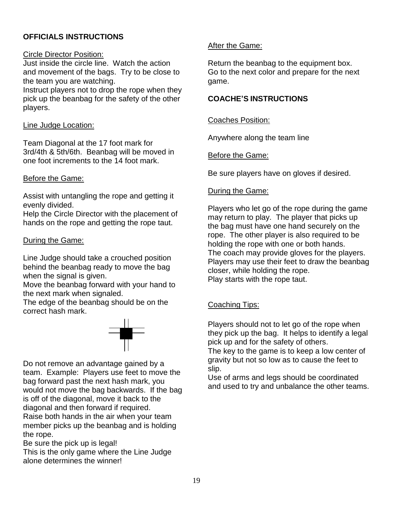## **OFFICIALS INSTRUCTIONS**

#### Circle Director Position:

Just inside the circle line. Watch the action and movement of the bags. Try to be close to the team you are watching. Instruct players not to drop the rope when they pick up the beanbag for the safety of the other players.

#### Line Judge Location:

Team Diagonal at the 17 foot mark for 3rd/4th & 5th/6th. Beanbag will be moved in one foot increments to the 14 foot mark.

#### Before the Game:

Assist with untangling the rope and getting it evenly divided.

Help the Circle Director with the placement of hands on the rope and getting the rope taut.

## During the Game:

Line Judge should take a crouched position behind the beanbag ready to move the bag when the signal is given.

Move the beanbag forward with your hand to the next mark when signaled.

The edge of the beanbag should be on the correct hash mark.

![](_page_18_Figure_12.jpeg)

Do not remove an advantage gained by a team. Example: Players use feet to move the bag forward past the next hash mark, you would not move the bag backwards. If the bag is off of the diagonal, move it back to the diagonal and then forward if required.

Raise both hands in the air when your team member picks up the beanbag and is holding the rope.

Be sure the pick up is legal!

This is the only game where the Line Judge alone determines the winner!

## After the Game:

Return the beanbag to the equipment box. Go to the next color and prepare for the next game.

#### **COACHE'S INSTRUCTIONS**

#### Coaches Position:

Anywhere along the team line

## Before the Game:

Be sure players have on gloves if desired.

#### During the Game:

Players who let go of the rope during the game may return to play. The player that picks up the bag must have one hand securely on the rope. The other player is also required to be holding the rope with one or both hands. The coach may provide gloves for the players. Players may use their feet to draw the beanbag closer, while holding the rope. Play starts with the rope taut.

## Coaching Tips:

Players should not to let go of the rope when they pick up the bag. It helps to identify a legal pick up and for the safety of others. The key to the game is to keep a low center of gravity but not so low as to cause the feet to slip.

Use of arms and legs should be coordinated and used to try and unbalance the other teams.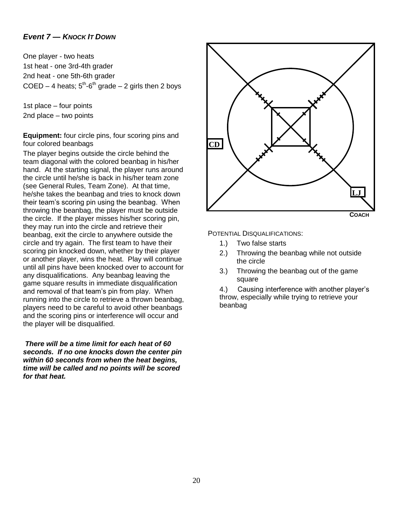## *Event 7 — KNOCK IT DOWN*

One player - two heats 1st heat - one 3rd-4th grader 2nd heat - one 5th-6th grader COED  $-$  4 heats;  $5<sup>th</sup>$ -6<sup>th</sup> grade  $-$  2 girls then 2 boys

1st place – four points 2nd place – two points

**Equipment:** four circle pins, four scoring pins and four colored beanbags

The player begins outside the circle behind the team diagonal with the colored beanbag in his/her hand. At the starting signal, the player runs around the circle until he/she is back in his/her team zone (see General Rules, Team Zone). At that time, he/she takes the beanbag and tries to knock down their team's scoring pin using the beanbag. When throwing the beanbag, the player must be outside the circle. If the player misses his/her scoring pin, they may run into the circle and retrieve their beanbag, exit the circle to anywhere outside the circle and try again. The first team to have their scoring pin knocked down, whether by their player or another player, wins the heat. Play will continue until all pins have been knocked over to account for any disqualifications. Any beanbag leaving the game square results in immediate disqualification and removal of that team's pin from play. When running into the circle to retrieve a thrown beanbag, players need to be careful to avoid other beanbags and the scoring pins or interference will occur and the player will be disqualified.

*There will be a time limit for each heat of 60 seconds. If no one knocks down the center pin within 60 seconds from when the heat begins, time will be called and no points will be scored for that heat.* 

![](_page_19_Figure_6.jpeg)

#### POTENTIAL DISQUALIFICATIONS:

- 1.) Two false starts
- 2.) Throwing the beanbag while not outside the circle
- 3.) Throwing the beanbag out of the game square

4.) Causing interference with another player's throw, especially while trying to retrieve your beanbag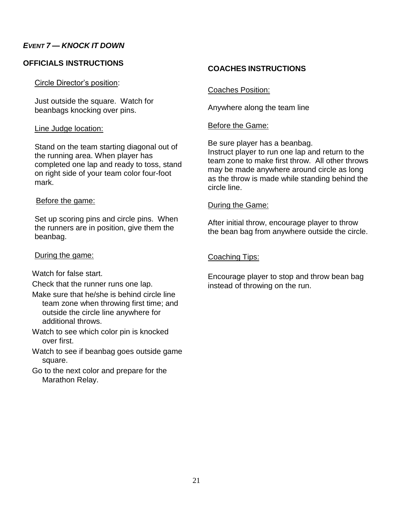## *EVENT 7 — KNOCK IT DOWN*

## **OFFICIALS INSTRUCTIONS**

#### Circle Director's position:

Just outside the square. Watch for beanbags knocking over pins.

#### Line Judge location:

Stand on the team starting diagonal out of the running area. When player has completed one lap and ready to toss, stand on right side of your team color four-foot mark.

#### Before the game:

Set up scoring pins and circle pins. When the runners are in position, give them the beanbag.

#### During the game:

Watch for false start.

Check that the runner runs one lap.

- Make sure that he/she is behind circle line team zone when throwing first time; and outside the circle line anywhere for additional throws.
- Watch to see which color pin is knocked over first.
- Watch to see if beanbag goes outside game square.
- Go to the next color and prepare for the Marathon Relay.

#### **COACHES INSTRUCTIONS**

#### Coaches Position:

Anywhere along the team line

#### Before the Game:

Be sure player has a beanbag. Instruct player to run one lap and return to the team zone to make first throw. All other throws may be made anywhere around circle as long as the throw is made while standing behind the circle line.

#### During the Game:

After initial throw, encourage player to throw the bean bag from anywhere outside the circle.

## Coaching Tips:

Encourage player to stop and throw bean bag instead of throwing on the run.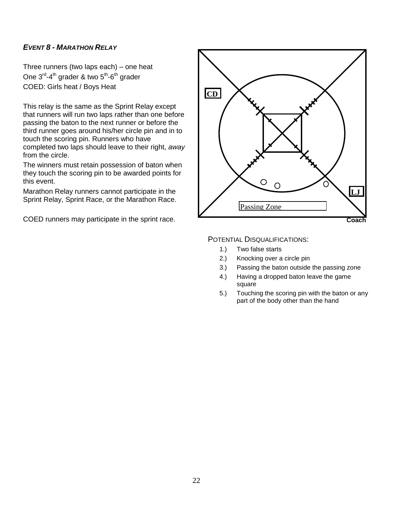## *EVENT 8 - MARATHON RELAY*

Three runners (two laps each) – one heat One 3<sup>rd</sup>-4<sup>th</sup> grader & two 5<sup>th</sup>-6<sup>th</sup> grader COED: Girls heat / Boys Heat

This relay is the same as the Sprint Relay except that runners will run two laps rather than one before passing the baton to the next runner or before the third runner goes around his/her circle pin and in to touch the scoring pin. Runners who have completed two laps should leave to their right, *away* from the circle.

The winners must retain possession of baton when they touch the scoring pin to be awarded points for this event.

Marathon Relay runners cannot participate in the Sprint Relay, Sprint Race, or the Marathon Race.

![](_page_21_Figure_6.jpeg)

- 1.) Two false starts
- 2.) Knocking over a circle pin
- 3.) Passing the baton outside the passing zone
- 4.) Having a dropped baton leave the game square
- 5.) Touching the scoring pin with the baton or any part of the body other than the hand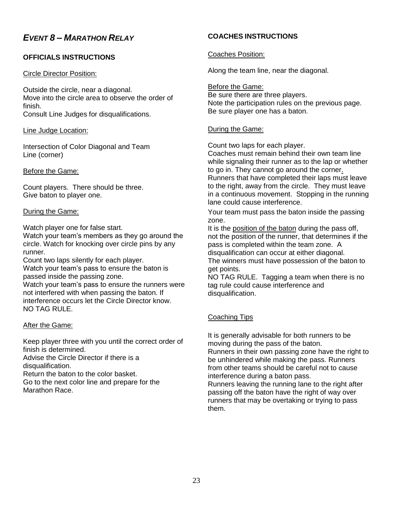## *EVENT 8 – MARATHON RELAY*

## **OFFICIALS INSTRUCTIONS**

#### Circle Director Position:

Outside the circle, near a diagonal. Move into the circle area to observe the order of finish. Consult Line Judges for disqualifications.

Line Judge Location:

Intersection of Color Diagonal and Team Line (corner)

#### Before the Game:

Count players. There should be three. Give baton to player one.

#### During the Game:

Watch player one for false start.

Watch your team's members as they go around the circle. Watch for knocking over circle pins by any runner.

Count two laps silently for each player.

Watch your team's pass to ensure the baton is passed inside the passing zone.

Watch your team's pass to ensure the runners were not interfered with when passing the baton. If interference occurs let the Circle Director know. NO TAG RULE.

#### After the Game:

Keep player three with you until the correct order of finish is determined.

Advise the Circle Director if there is a disqualification.

Return the baton to the color basket.

Go to the next color line and prepare for the Marathon Race.

## **COACHES INSTRUCTIONS**

#### Coaches Position:

Along the team line, near the diagonal.

Before the Game: Be sure there are three players. Note the participation rules on the previous page. Be sure player one has a baton.

#### During the Game:

Count two laps for each player.

Coaches must remain behind their own team line while signaling their runner as to the lap or whether to go in. They cannot go around the corner. Runners that have completed their laps must leave to the right, away from the circle. They must leave in a continuous movement. Stopping in the running lane could cause interference.

Your team must pass the baton inside the passing zone.

It is the position of the baton during the pass off, not the position of the runner, that determines if the pass is completed within the team zone. A disqualification can occur at either diagonal. The winners must have possession of the baton to get points.

NO TAG RULE. Tagging a team when there is no tag rule could cause interference and disqualification.

## Coaching Tips

It is generally advisable for both runners to be moving during the pass of the baton. Runners in their own passing zone have the right to be unhindered while making the pass. Runners from other teams should be careful not to cause interference during a baton pass.

Runners leaving the running lane to the right after passing off the baton have the right of way over runners that may be overtaking or trying to pass them.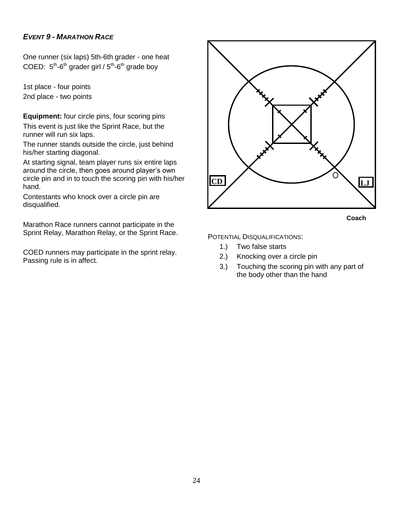## *EVENT 9 - MARATHON RACE*

One runner (six laps) 5th-6th grader - one heat COED:  $5^{th}$ -6<sup>th</sup> grader girl /  $5^{th}$ -6<sup>th</sup> grade boy

1st place - four points 2nd place - two points

**Equipment:** four circle pins, four scoring pins This event is just like the Sprint Race, but the runner will run six laps.

The runner stands outside the circle, just behind his/her starting diagonal.

At starting signal, team player runs six entire laps around the circle, then goes around player's own circle pin and in to touch the scoring pin with his/her hand.

Contestants who knock over a circle pin are disqualified.

Marathon Race runners cannot participate in the Sprint Relay, Marathon Relay, or the Sprint Race.

COED runners may participate in the sprint relay. Passing rule is in affect.

![](_page_23_Figure_9.jpeg)

 **Coach**

- 1.) Two false starts
- 2.) Knocking over a circle pin
- 3.) Touching the scoring pin with any part of the body other than the hand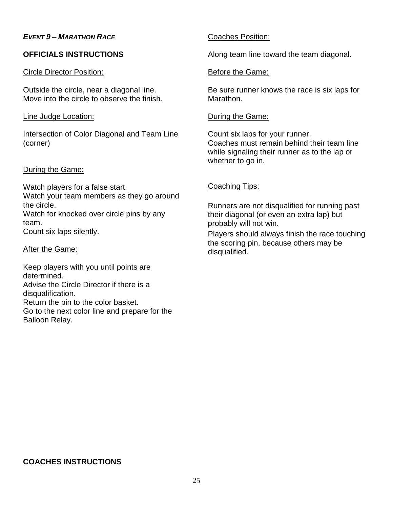## *EVENT 9 – MARATHON RACE*

## **OFFICIALS INSTRUCTIONS**

#### Circle Director Position:

Outside the circle, near a diagonal line. Move into the circle to observe the finish.

#### Line Judge Location:

Intersection of Color Diagonal and Team Line (corner)

#### During the Game:

Watch players for a false start. Watch your team members as they go around the circle. Watch for knocked over circle pins by any team. Count six laps silently.

#### After the Game:

Keep players with you until points are determined. Advise the Circle Director if there is a disqualification. Return the pin to the color basket. Go to the next color line and prepare for the Balloon Relay.

## Coaches Position:

Along team line toward the team diagonal.

#### Before the Game:

Be sure runner knows the race is six laps for Marathon.

#### During the Game:

Count six laps for your runner. Coaches must remain behind their team line while signaling their runner as to the lap or whether to go in.

## Coaching Tips:

Runners are not disqualified for running past their diagonal (or even an extra lap) but probably will not win.

Players should always finish the race touching the scoring pin, because others may be disqualified.

## **COACHES INSTRUCTIONS**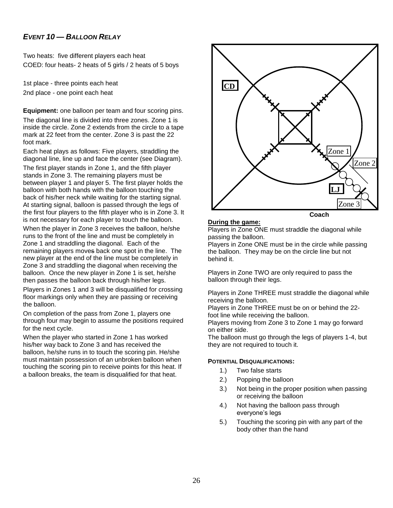## *EVENT 10 — BALLOON RELAY*

Two heats: five different players each heat COED: four heats- 2 heats of 5 girls / 2 heats of 5 boys

1st place - three points each heat 2nd place - one point each heat

**Equipment:** one balloon per team and four scoring pins.

The diagonal line is divided into three zones. Zone 1 is inside the circle. Zone 2 extends from the circle to a tape mark at 22 feet from the center. Zone 3 is past the 22 foot mark.

Each heat plays as follows: Five players, straddling the diagonal line, line up and face the center (see Diagram).

The first player stands in Zone 1, and the fifth player stands in Zone 3. The remaining players must be between player 1 and player 5. The first player holds the balloon with both hands with the balloon touching the back of his/her neck while waiting for the starting signal. At starting signal, balloon is passed through the legs of the first four players to the fifth player who is in Zone 3. It is not necessary for each player to touch the balloon.

When the player in Zone 3 receives the balloon, he/she runs to the front of the line and must be completely in Zone 1 and straddling the diagonal. Each of the remaining players moves back one spot in the line. The new player at the end of the line must be completely in Zone 3 and straddling the diagonal when receiving the balloon. Once the new player in Zone 1 is set, he/she then passes the balloon back through his/her legs. Players in Zones 1 and 3 will be disqualified for crossing floor markings only when they are passing or receiving the balloon.

On completion of the pass from Zone 1, players one through four may begin to assume the positions required for the next cycle.

When the player who started in Zone 1 has worked his/her way back to Zone 3 and has received the balloon, he/she runs in to touch the scoring pin. He/she must maintain possession of an unbroken balloon when touching the scoring pin to receive points for this heat. If a balloon breaks, the team is disqualified for that heat.

![](_page_25_Figure_10.jpeg)

#### **During the game:**

Players in Zone ONE must straddle the diagonal while passing the balloon.

Players in Zone ONE must be in the circle while passing the balloon. They may be on the circle line but not behind it.

Players in Zone TWO are only required to pass the balloon through their legs.

Players in Zone THREE must straddle the diagonal while receiving the balloon.

Players in Zone THREE must be on or behind the 22 foot line while receiving the balloon.

Players moving from Zone 3 to Zone 1 may go forward on either side.

The balloon must go through the legs of players 1-4, but they are not required to touch it.

- 1.) Two false starts
- 2.) Popping the balloon
- 3.) Not being in the proper position when passing or receiving the balloon
- 4.) Not having the balloon pass through everyone's legs
- 5.) Touching the scoring pin with any part of the body other than the hand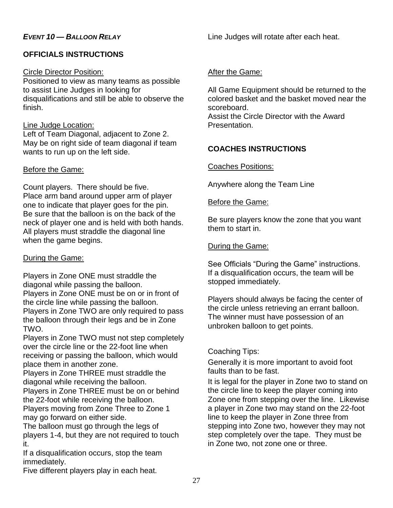## **OFFICIALS INSTRUCTIONS**

## Circle Director Position:

Positioned to view as many teams as possible to assist Line Judges in looking for disqualifications and still be able to observe the finish.

## Line Judge Location:

Left of Team Diagonal, adjacent to Zone 2. May be on right side of team diagonal if team wants to run up on the left side.

## Before the Game:

Count players. There should be five. Place arm band around upper arm of player one to indicate that player goes for the pin. Be sure that the balloon is on the back of the neck of player one and is held with both hands. All players must straddle the diagonal line when the game begins.

## During the Game:

Players in Zone ONE must straddle the diagonal while passing the balloon. Players in Zone ONE must be on or in front of the circle line while passing the balloon. Players in Zone TWO are only required to pass the balloon through their legs and be in Zone TWO.

Players in Zone TWO must not step completely over the circle line or the 22-foot line when receiving or passing the balloon, which would place them in another zone.

Players in Zone THREE must straddle the diagonal while receiving the balloon.

Players in Zone THREE must be on or behind the 22-foot while receiving the balloon.

Players moving from Zone Three to Zone 1 may go forward on either side.

The balloon must go through the legs of players 1-4, but they are not required to touch it.

If a disqualification occurs, stop the team immediately.

Five different players play in each heat.

Line Judges will rotate after each heat.

## After the Game:

All Game Equipment should be returned to the colored basket and the basket moved near the scoreboard. Assist the Circle Director with the Award

Presentation.

## **COACHES INSTRUCTIONS**

## Coaches Positions:

Anywhere along the Team Line

## Before the Game:

Be sure players know the zone that you want them to start in.

## During the Game:

See Officials "During the Game" instructions. If a disqualification occurs, the team will be stopped immediately.

Players should always be facing the center of the circle unless retrieving an errant balloon. The winner must have possession of an unbroken balloon to get points.

## Coaching Tips:

Generally it is more important to avoid foot faults than to be fast.

It is legal for the player in Zone two to stand on the circle line to keep the player coming into Zone one from stepping over the line. Likewise a player in Zone two may stand on the 22-foot line to keep the player in Zone three from stepping into Zone two, however they may not step completely over the tape. They must be in Zone two, not zone one or three.